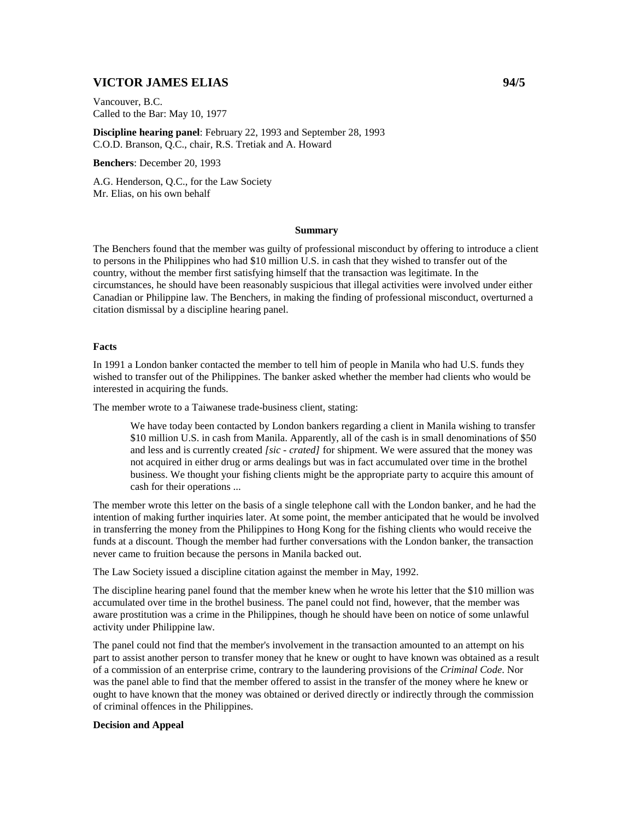# **VICTOR JAMES ELIAS 94/5**

Vancouver, B.C. Called to the Bar: May 10, 1977

**Discipline hearing panel**: February 22, 1993 and September 28, 1993 C.O.D. Branson, Q.C., chair, R.S. Tretiak and A. Howard

**Benchers**: December 20, 1993

A.G. Henderson, Q.C., for the Law Society Mr. Elias, on his own behalf

### **Summary**

The Benchers found that the member was guilty of professional misconduct by offering to introduce a client to persons in the Philippines who had \$10 million U.S. in cash that they wished to transfer out of the country, without the member first satisfying himself that the transaction was legitimate. In the circumstances, he should have been reasonably suspicious that illegal activities were involved under either Canadian or Philippine law. The Benchers, in making the finding of professional misconduct, overturned a citation dismissal by a discipline hearing panel.

### **Facts**

In 1991 a London banker contacted the member to tell him of people in Manila who had U.S. funds they wished to transfer out of the Philippines. The banker asked whether the member had clients who would be interested in acquiring the funds.

The member wrote to a Taiwanese trade-business client, stating:

We have today been contacted by London bankers regarding a client in Manila wishing to transfer \$10 million U.S. in cash from Manila. Apparently, all of the cash is in small denominations of \$50 and less and is currently created *[sic - crated]* for shipment. We were assured that the money was not acquired in either drug or arms dealings but was in fact accumulated over time in the brothel business. We thought your fishing clients might be the appropriate party to acquire this amount of cash for their operations ...

The member wrote this letter on the basis of a single telephone call with the London banker, and he had the intention of making further inquiries later. At some point, the member anticipated that he would be involved in transferring the money from the Philippines to Hong Kong for the fishing clients who would receive the funds at a discount. Though the member had further conversations with the London banker, the transaction never came to fruition because the persons in Manila backed out.

The Law Society issued a discipline citation against the member in May, 1992.

The discipline hearing panel found that the member knew when he wrote his letter that the \$10 million was accumulated over time in the brothel business. The panel could not find, however, that the member was aware prostitution was a crime in the Philippines, though he should have been on notice of some unlawful activity under Philippine law.

The panel could not find that the member's involvement in the transaction amounted to an attempt on his part to assist another person to transfer money that he knew or ought to have known was obtained as a result of a commission of an enterprise crime, contrary to the laundering provisions of the *Criminal Code*. Nor was the panel able to find that the member offered to assist in the transfer of the money where he knew or ought to have known that the money was obtained or derived directly or indirectly through the commission of criminal offences in the Philippines.

#### **Decision and Appeal**